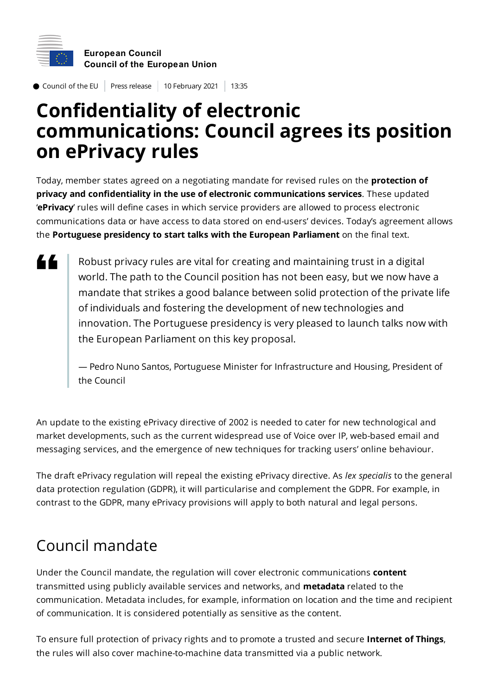

 $\bullet$  Council of the EU Press release 10 February 2021 13:35

# **Confidentiality of electronic communications: Council agrees its position on ePrivacy rules**

Today, member states agreed on a negotiating mandate for revised rules on the **protection of privacy and confidentiality in the use of electronic communications services**. These updated '**ePrivacy**' rules will define cases in which service providers are allowed to process electronic communications data or have access to data stored on end-users' devices. Today's agreement allows the **Portuguese presidency to start talks with the European Parliament** on the final text.

44

Robust privacy rules are vital for creating and maintaining trust in a digital world. The path to the Council position has not been easy, but we now have a mandate that strikes a good balance between solid protection of the private life of individuals and fostering the development of new technologies and innovation. The Portuguese presidency is very pleased to launch talks now with the European Parliament on this key proposal.

— Pedro Nuno Santos, Portuguese Minister for Infrastructure and Housing, President of the Council

An update to the existing ePrivacy directive of 2002 is needed to cater for new technological and market developments, such as the current widespread use of Voice over IP, web-based email and messaging services, and the emergence of new techniques for tracking users' online behaviour.

The draft ePrivacy regulation will repeal the existing ePrivacy directive. As *lex specialis* to the general data protection regulation (GDPR), it will particularise and complement the GDPR. For example, in contrast to the GDPR, many ePrivacy provisions will apply to both natural and legal persons.

## Council mandate

Under the Council mandate, the regulation will cover electronic communications **content** transmitted using publicly available services and networks, and **metadata** related to the communication. Metadata includes, for example, information on location and the time and recipient of communication. It is considered potentially as sensitive as the content.

To ensure full protection of privacy rights and to promote a trusted and secure **Internet of Things**, the rules will also cover machine-to-machine data transmitted via a public network.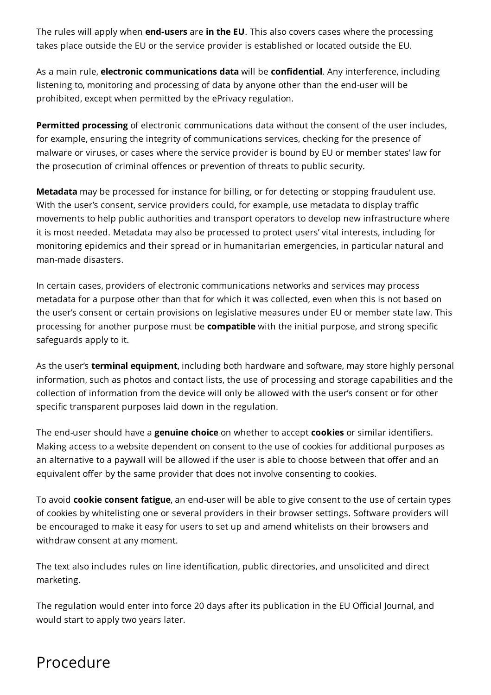The rules will apply when **end-users** are **in the EU**. This also covers cases where the processing takes place outside the EU or the service provider is established or located outside the EU.

As a main rule, **electronic communications data** will be **confidential**. Any interference, including listening to, monitoring and processing of data by anyone other than the end-user will be prohibited, except when permitted by the ePrivacy regulation.

**Permitted processing** of electronic communications data without the consent of the user includes, for example, ensuring the integrity of communications services, checking for the presence of malware or viruses, or cases where the service provider is bound by EU or member states' law for the prosecution of criminal offences or prevention of threats to public security.

**Metadata** may be processed for instance for billing, or for detecting or stopping fraudulent use. With the user's consent, service providers could, for example, use metadata to display traffic movements to help public authorities and transport operators to develop new infrastructure where it is most needed. Metadata may also be processed to protect users' vital interests, including for monitoring epidemics and their spread or in humanitarian emergencies, in particular natural and man-made disasters.

In certain cases, providers of electronic communications networks and services may process metadata for a purpose other than that for which it was collected, even when this is not based on the user's consent or certain provisions on legislative measures under EU or member state law. This processing for another purpose must be **compatible** with the initial purpose, and strong specific safeguards apply to it.

As the user's **terminal equipment**, including both hardware and software, may store highly personal information, such as photos and contact lists, the use of processing and storage capabilities and the collection of information from the device will only be allowed with the user's consent or for other specific transparent purposes laid down in the regulation.

The end-user should have a **genuine choice** on whether to accept **cookies** or similar identifiers. Making access to a website dependent on consent to the use of cookies for additional purposes as an alternative to a paywall will be allowed if the user is able to choose between that offer and an equivalent offer by the same provider that does not involve consenting to cookies.

To avoid **cookie consent fatigue**, an end-user will be able to give consent to the use of certain types of cookies by whitelisting one or several providers in their browser settings. Software providers will be encouraged to make it easy for users to set up and amend whitelists on their browsers and withdraw consent at any moment.

The text also includes rules on line identification, public directories, and unsolicited and direct marketing.

The regulation would enter into force 20 days after its publication in the EU Official Journal, and would start to apply two years later.

## Procedure